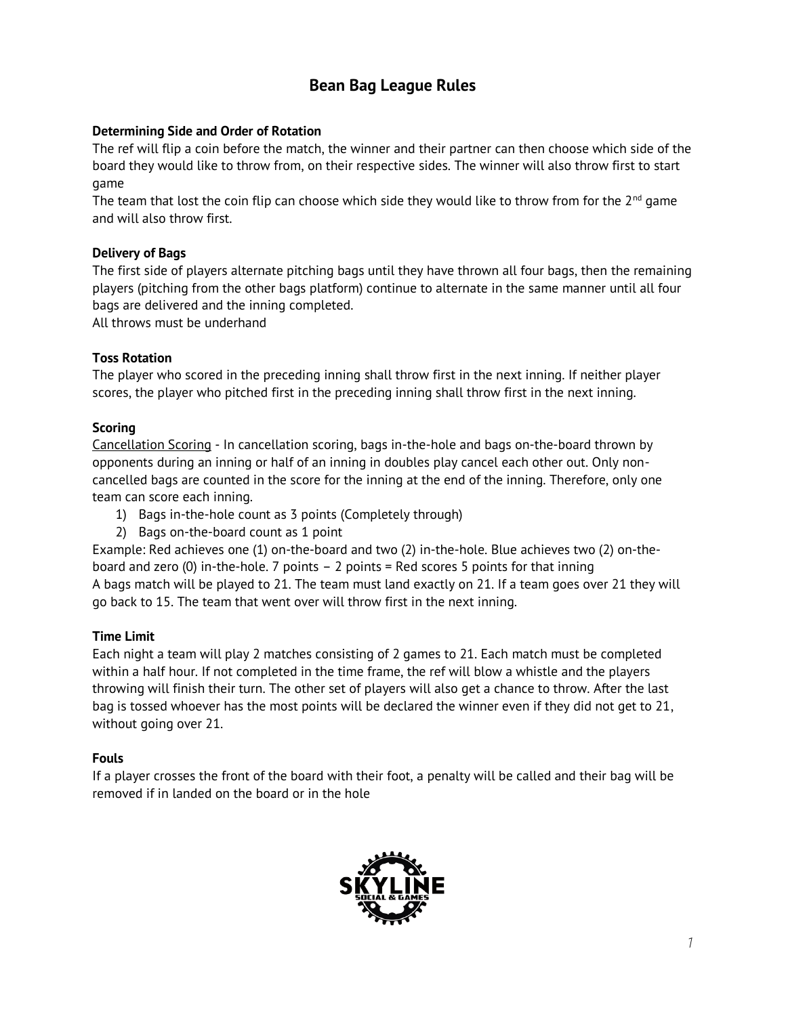# **Bean Bag League Rules**

# **Determining Side and Order of Rotation**

The ref will flip a coin before the match, the winner and their partner can then choose which side of the board they would like to throw from, on their respective sides. The winner will also throw first to start game

The team that lost the coin flip can choose which side they would like to throw from for the  $2^{nd}$  game and will also throw first.

# **Delivery of Bags**

The first side of players alternate pitching bags until they have thrown all four bags, then the remaining players (pitching from the other bags platform) continue to alternate in the same manner until all four bags are delivered and the inning completed.

All throws must be underhand

# **Toss Rotation**

The player who scored in the preceding inning shall throw first in the next inning. If neither player scores, the player who pitched first in the preceding inning shall throw first in the next inning.

# **Scoring**

Cancellation Scoring - In cancellation scoring, bags in-the-hole and bags on-the-board thrown by opponents during an inning or half of an inning in doubles play cancel each other out. Only noncancelled bags are counted in the score for the inning at the end of the inning. Therefore, only one team can score each inning.

- 1) Bags in-the-hole count as 3 points (Completely through)
- 2) Bags on-the-board count as 1 point

Example: Red achieves one (1) on-the-board and two (2) in-the-hole. Blue achieves two (2) on-theboard and zero (0) in-the-hole. 7 points  $-2$  points = Red scores 5 points for that inning A bags match will be played to 21. The team must land exactly on 21. If a team goes over 21 they will go back to 15. The team that went over will throw first in the next inning.

# **Time Limit**

Each night a team will play 2 matches consisting of 2 games to 21. Each match must be completed within a half hour. If not completed in the time frame, the ref will blow a whistle and the players throwing will finish their turn. The other set of players will also get a chance to throw. After the last bag is tossed whoever has the most points will be declared the winner even if they did not get to 21, without going over 21.

# **Fouls**

If a player crosses the front of the board with their foot, a penalty will be called and their bag will be removed if in landed on the board or in the hole